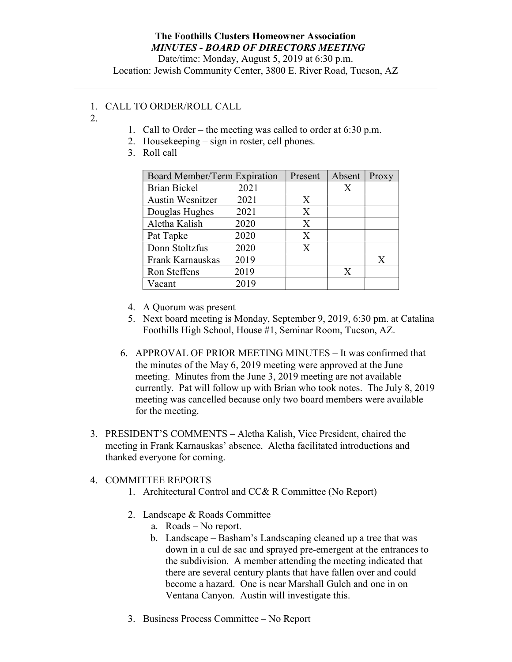## The Foothills Clusters Homeowner Association MINUTES - BOARD OF DIRECTORS MEETING

Date/time: Monday, August 5, 2019 at 6:30 p.m. Location: Jewish Community Center, 3800 E. River Road, Tucson, AZ

## 1. CALL TO ORDER/ROLL CALL

- 2.
- 1. Call to Order the meeting was called to order at 6:30 p.m.
- 2. Housekeeping sign in roster, cell phones.
- 3. Roll call

| Board Member/Term Expiration |      | Present | Absent | Proxy |
|------------------------------|------|---------|--------|-------|
| <b>Brian Bickel</b>          | 2021 |         | X      |       |
| <b>Austin Wesnitzer</b>      | 2021 | X       |        |       |
| Douglas Hughes               | 2021 | X       |        |       |
| Aletha Kalish                | 2020 | X       |        |       |
| Pat Tapke                    | 2020 | X       |        |       |
| Donn Stoltzfus               | 2020 | X       |        |       |
| Frank Karnauskas             | 2019 |         |        | X     |
| Ron Steffens                 | 2019 |         | X      |       |
| Vacant                       | 2019 |         |        |       |

- 4. A Quorum was present
- 5. Next board meeting is Monday, September 9, 2019, 6:30 pm. at Catalina Foothills High School, House #1, Seminar Room, Tucson, AZ.
- 6. APPROVAL OF PRIOR MEETING MINUTES It was confirmed that the minutes of the May 6, 2019 meeting were approved at the June meeting. Minutes from the June 3, 2019 meeting are not available currently. Pat will follow up with Brian who took notes. The July 8, 2019 meeting was cancelled because only two board members were available for the meeting.
- 3. PRESIDENT'S COMMENTS Aletha Kalish, Vice President, chaired the meeting in Frank Karnauskas' absence. Aletha facilitated introductions and thanked everyone for coming.

## 4. COMMITTEE REPORTS

- 1. Architectural Control and CC& R Committee (No Report)
- 2. Landscape & Roads Committee
	- a. Roads No report.
	- b. Landscape Basham's Landscaping cleaned up a tree that was down in a cul de sac and sprayed pre-emergent at the entrances to the subdivision. A member attending the meeting indicated that there are several century plants that have fallen over and could become a hazard. One is near Marshall Gulch and one in on Ventana Canyon. Austin will investigate this.
- 3. Business Process Committee No Report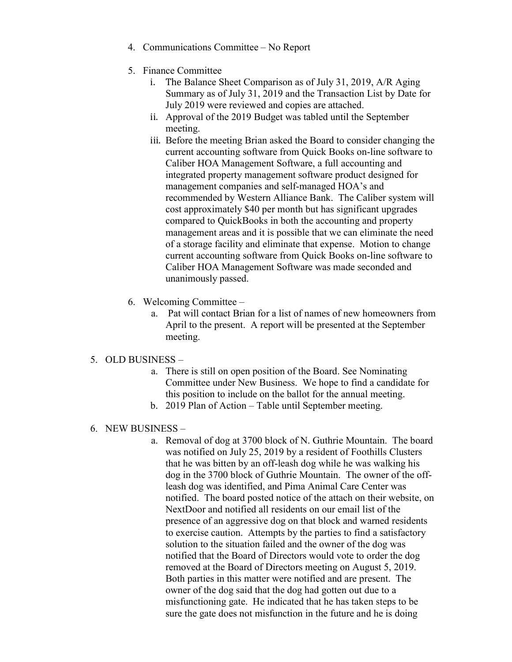- 4. Communications Committee No Report
- 5. Finance Committee
	- i. The Balance Sheet Comparison as of July 31, 2019, A/R Aging Summary as of July 31, 2019 and the Transaction List by Date for July 2019 were reviewed and copies are attached.
	- ii. Approval of the 2019 Budget was tabled until the September meeting.
	- iii. Before the meeting Brian asked the Board to consider changing the current accounting software from Quick Books on-line software to Caliber HOA Management Software, a full accounting and integrated property management software product designed for management companies and self-managed HOA's and recommended by Western Alliance Bank. The Caliber system will cost approximately \$40 per month but has significant upgrades compared to QuickBooks in both the accounting and property management areas and it is possible that we can eliminate the need of a storage facility and eliminate that expense. Motion to change current accounting software from Quick Books on-line software to Caliber HOA Management Software was made seconded and unanimously passed.
- 6. Welcoming Committee
	- a. Pat will contact Brian for a list of names of new homeowners from April to the present. A report will be presented at the September meeting.
- 5. OLD BUSINESS
	- a. There is still on open position of the Board. See Nominating Committee under New Business. We hope to find a candidate for this position to include on the ballot for the annual meeting.
	- b. 2019 Plan of Action Table until September meeting.
- 6. NEW BUSINESS
	- a. Removal of dog at 3700 block of N. Guthrie Mountain. The board was notified on July 25, 2019 by a resident of Foothills Clusters that he was bitten by an off-leash dog while he was walking his dog in the 3700 block of Guthrie Mountain. The owner of the offleash dog was identified, and Pima Animal Care Center was notified. The board posted notice of the attach on their website, on NextDoor and notified all residents on our email list of the presence of an aggressive dog on that block and warned residents to exercise caution. Attempts by the parties to find a satisfactory solution to the situation failed and the owner of the dog was notified that the Board of Directors would vote to order the dog removed at the Board of Directors meeting on August 5, 2019. Both parties in this matter were notified and are present. The owner of the dog said that the dog had gotten out due to a misfunctioning gate. He indicated that he has taken steps to be sure the gate does not misfunction in the future and he is doing